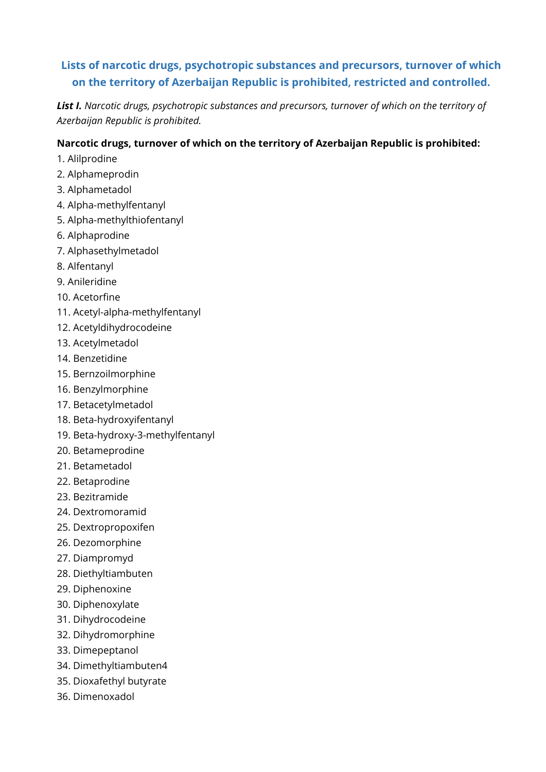# **Lists of narcotic drugs, psychotropic substances and precursors, turnover of which on the territory of Azerbaijan Republic is prohibited, restricted and controlled.**

*List I. Narcotic drugs, psychotropic substances and precursors, turnover of which on the territory of Azerbaijan Republic is prohibited.*

#### **Narcotic drugs, turnover of which on the territory of Azerbaijan Republic is prohibited:**

- 1. Alilprodine
- 2. Alphameprodin
- 3. Alphametadol
- 4. Alpha-methylfentanyl
- 5. Alpha-methylthiofentanyl
- 6. Alphaprodine
- 7. Alphasethylmetadol
- 8. Alfentanyl
- 9. Anileridine
- 10. Acetorfine
- 11. Acetyl-alpha-methylfentanyl
- 12. Acetyldihydrocodeine
- 13. Acetylmetadol
- 14. Benzetidine
- 15. Bernzoilmorphine
- 16. Benzylmorphine
- 17. Betacetylmetadol
- 18. Beta-hydroxyifentanyl
- 19. Beta-hydroxy-3-methylfentanyl
- 20. Betameprodine
- 21. Betametadol
- 22. Betaprodine
- 23. Bezitramide
- 24. Dextromoramid
- 25. Dextropropoxifen
- 26. Dezomorphine
- 27. Diampromyd
- 28. Diethyltiambuten
- 29. Diphenoxine
- 30. Diphenoxylate
- 31. Dihydrocodeine
- 32. Dihydromorphine
- 33. Dimepeptanol
- 34. Dimethyltiambuten4
- 35. Dioxafethyl butyrate
- 36. Dimenoxadol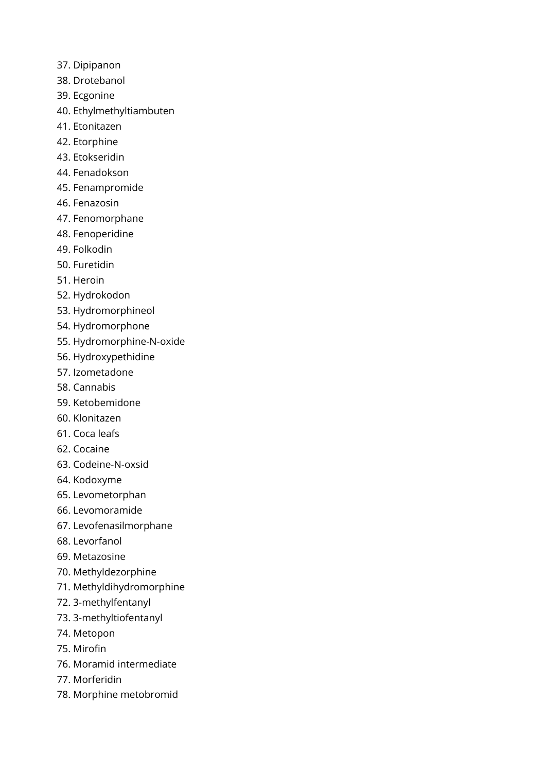- 37. Dipipanon
- 38. Drotebanol
- 39. Ecgonine
- 40. Ethylmethyltiambuten
- 41. Etonitazen
- 42. Etorphine
- 43. Etokseridin
- 44. Fenadokson
- 45. Fenampromide
- 46. Fenazosin
- 47. Fenomorphane
- 48. Fenoperidine
- 49. Folkodin
- 50. Furetidin
- 51. Heroin
- 52. Hydrokodon
- 53. Hydromorphineol
- 54. Hydromorphone
- 55. Hydromorphine-N-oxide
- 56. Hydroxypethidine
- 57. Izometadone
- 58. Cannabis
- 59. Ketobemidone
- 60. Klonitazen
- 61. Coca leafs
- 62. Cocaine
- 63. Codeine-N-oxsid
- 64. Kodoxyme
- 65. Levometorphan
- 66. Levomoramide
- 67. Levofenasilmorphane
- 68. Levorfanol
- 69. Metazosine
- 70. Methyldezorphine
- 71. Methyldihydromorphine
- 72. 3-methylfentanyl
- 73. 3-methyltiofentanyl
- 74. Metopon
- 75. Mirofin
- 76. Moramid intermediate
- 77. Morferidin
- 78. Morphine metobromid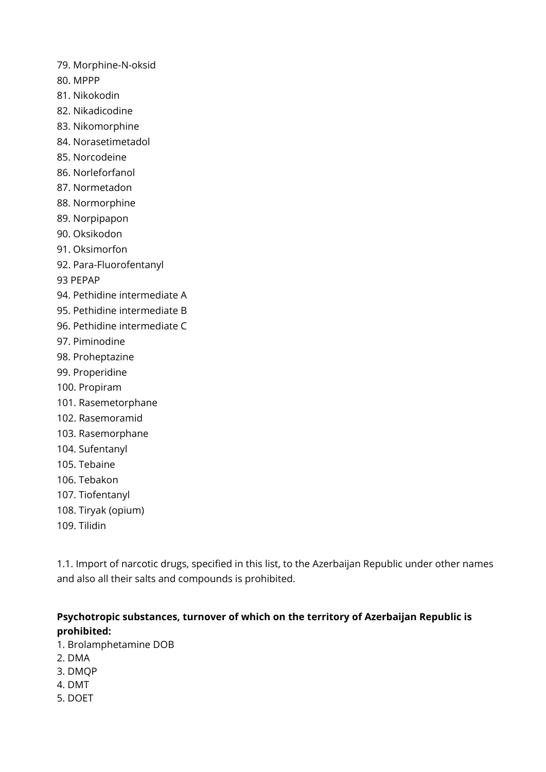- 79. Morphine-N-oksid
- 80. MPPP
- 81. Nikokodin
- 82. Nikadicodine
- 83. Nikomorphine
- 84. Norasetimetadol
- 85. Norcodeine
- 86. Norleforfanol
- 87. Normetadon
- 88. Normorphine
- 89. Norpipapon
- 90. Oksikodon
- 91. Oksimorfon
- 92. Para-Fluorofentanyl

93 PEPAP

- 94. Pethidine intermediate A
- 95. Pethidine intermediate B
- 96. Pethidine intermediate C
- 97. Piminodine
- 98. Proheptazine
- 99. Properidine
- 100. Propiram
- 101. Rasemetorphane
- 102. Rasemoramid
- 103. Rasemorphane
- 104. Sufentanyl
- 105. Tebaine
- 106. Tebakon
- 107. Tiofentanyl
- 108. Tiryak (opium)
- 109. Tilidin

1.1. Import of narcotic drugs, specified in this list, to the Azerbaijan Republic under other names and also all their salts and compounds is prohibited.

### **Psychotropic substances, turnover of which on the territory of Azerbaijan Republic is prohibited:**

- 1. Brolamphetamine DOB
- 2. DMA
- 3. DMQP
- 4. DMT
- 5. DOET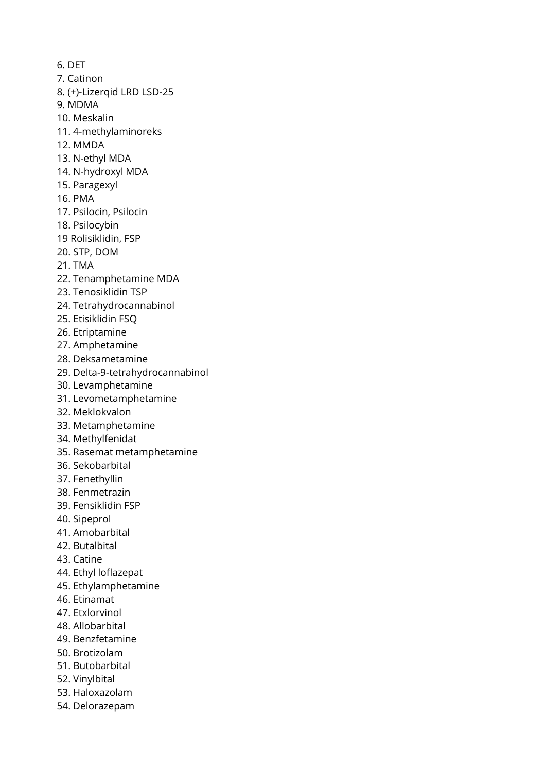6. DET 7. Catinon 8. (+)-Lizerqid LRD LSD-25 9. MDMA 10. Meskalin 11. 4-methylaminoreks 12. MMDA 13. N-ethyl MDA 14. N-hydroxyl MDA 15. Paragexyl 16. PMA 17. Psilocin, Psilocin 18. Psilocybin 19 Rolisiklidin, FSP 20. STP, DOM 21. TMA 22. Tenamphetamine MDA 23. Tenosiklidin TSP 24. Tetrahydrocannabinol 25. Etisiklidin FSQ 26. Etriptamine 27. Amphetamine 28. Deksametamine 29. Delta-9-tetrahydrocannabinol 30. Levamphetamine 31. Levometamphetamine 32. Meklokvalon 33. Metamphetamine 34. Methylfenidat 35. Rasemat metamphetamine 36. Sekobarbital 37. Fenethyllin 38. Fenmetrazin 39. Fensiklidin FSP 40. Sipeprol 41. Amobarbital 42. Butalbital 43. Catine 44. Ethyl loflazepat 45. Ethylamphetamine 46. Etinamat 47. Etxlorvinol 48. Allobarbital 49. Benzfetamine 50. Brotizolam 51. Butobarbital 52. Vinylbital 53. Haloxazolam 54. Delorazepam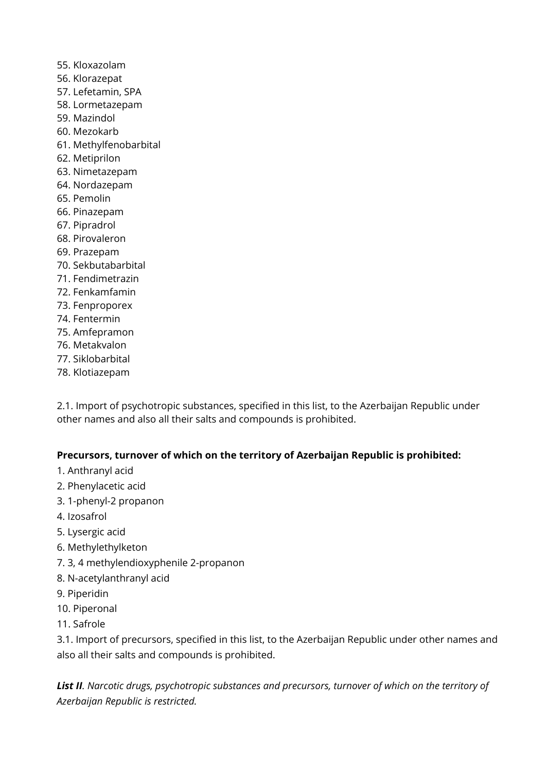55. Kloxazolam 56. Klorazepat 57. Lefetamin, SPA 58. Lormetazepam 59. Mazindol 60. Mezokarb 61. Methylfenobarbital 62. Metiprilon 63. Nimetazepam 64. Nordazepam 65. Pemolin 66. Pinazepam 67. Pipradrol 68. Pirovaleron 69. Prazepam 70. Sekbutabarbital 71. Fendimetrazin 72. Fenkamfamin 73. Fenproporex 74. Fentermin 75. Amfepramon 76. Metakvalon 77. Siklobarbital 78. Klotiazepam

2.1. Import of psychotropic substances, specified in this list, to the Azerbaijan Republic under other names and also all their salts and compounds is prohibited.

#### **Precursors, turnover of which on the territory of Azerbaijan Republic is prohibited:**

- 1. Anthranyl acid
- 2. Phenylacetic acid
- 3. 1-phenyl-2 propanon
- 4. Izosafrol
- 5. Lysergic acid
- 6. Methylethylketon
- 7. 3, 4 methylendioxyphenile 2-propanon
- 8. N-acetylanthranyl acid
- 9. Piperidin
- 10. Piperonal
- 11. Safrole

3.1. Import of precursors, specified in this list, to the Azerbaijan Republic under other names and also all their salts and compounds is prohibited.

*List II. Narcotic drugs, psychotropic substances and precursors, turnover of which on the territory of Azerbaijan Republic is restricted.*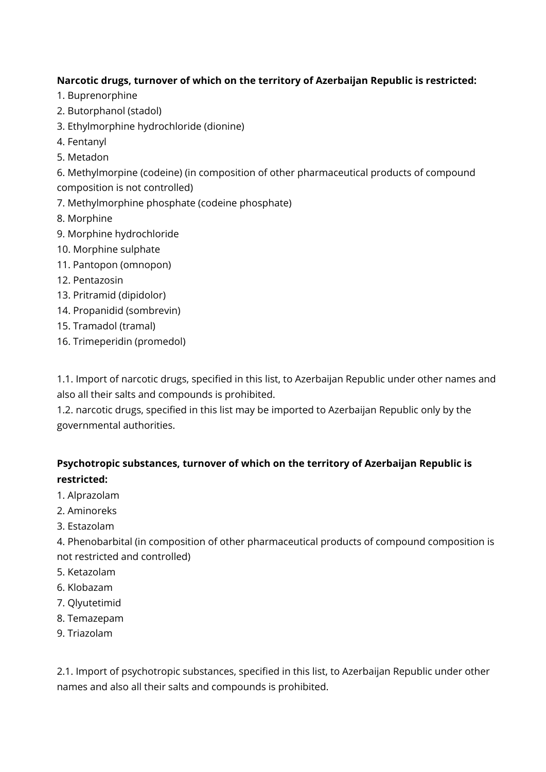#### **Narcotic drugs, turnover of which on the territory of Azerbaijan Republic is restricted:**

- 1. Buprenorphine
- 2. Butorphanol (stadol)
- 3. Ethylmorphine hydrochloride (dionine)
- 4. Fentanyl
- 5. Metadon

6. Methylmorpine (codeine) (in composition of other pharmaceutical products of compound composition is not controlled)

- 7. Methylmorphine phosphate (codeine phosphate)
- 8. Morphine
- 9. Morphine hydrochloride
- 10. Morphine sulphate
- 11. Pantopon (omnopon)
- 12. Pentazosin
- 13. Pritramid (dipidolor)
- 14. Propanidid (sombrevin)
- 15. Tramadol (tramal)
- 16. Trimeperidin (promedol)

1.1. Import of narcotic drugs, specified in this list, to Azerbaijan Republic under other names and also all their salts and compounds is prohibited.

1.2. narcotic drugs, specified in this list may be imported to Azerbaijan Republic only by the governmental authorities.

# **Psychotropic substances, turnover of which on the territory of Azerbaijan Republic is restricted:**

- 1. Alprazolam
- 2. Aminoreks
- 3. Estazolam

4. Phenobarbital (in composition of other pharmaceutical products of compound composition is not restricted and controlled)

- 5. Ketazolam
- 6. Klobazam
- 7. Qlyutetimid
- 8. Temazepam
- 9. Triazolam

2.1. Import of psychotropic substances, specified in this list, to Azerbaijan Republic under other names and also all their salts and compounds is prohibited.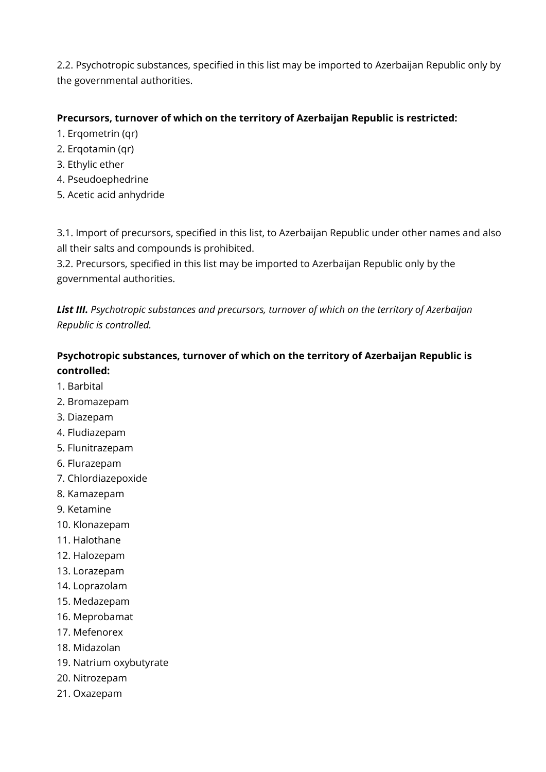2.2. Psychotropic substances, specified in this list may be imported to Azerbaijan Republic only by the governmental authorities.

#### **Precursors, turnover of which on the territory of Azerbaijan Republic is restricted:**

- 1. Erqometrin (qr)
- 2. Erqotamin (qr)
- 3. Ethylic ether
- 4. Pseudoephedrine
- 5. Acetic acid anhydride

3.1. Import of precursors, specified in this list, to Azerbaijan Republic under other names and also all their salts and compounds is prohibited.

3.2. Precursors, specified in this list may be imported to Azerbaijan Republic only by the governmental authorities.

*List III. Psychotropic substances and precursors, turnover of which on the territory of Azerbaijan Republic is controlled.*

### **Psychotropic substances, turnover of which on the territory of Azerbaijan Republic is controlled:**

- 1. Barbital
- 2. Bromazepam
- 3. Diazepam
- 4. Fludiazepam
- 5. Flunitrazepam
- 6. Flurazepam
- 7. Chlordiazepoxide
- 8. Kamazepam
- 9. Ketamine
- 10. Klonazepam
- 11. Halothane
- 12. Halozepam
- 13. Lorazepam
- 14. Loprazolam
- 15. Medazepam
- 16. Meprobamat
- 17. Mefenorex
- 18. Midazolan
- 19. Natrium oxybutyrate
- 20. Nitrozepam
- 21. Oxazepam